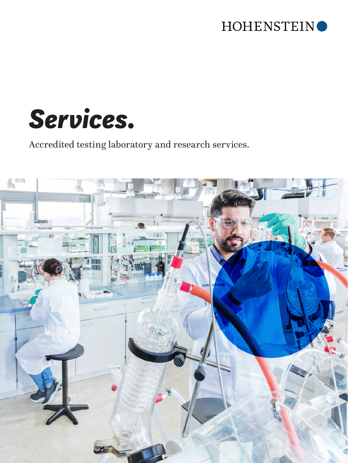



Accredited testing laboratory and research services.

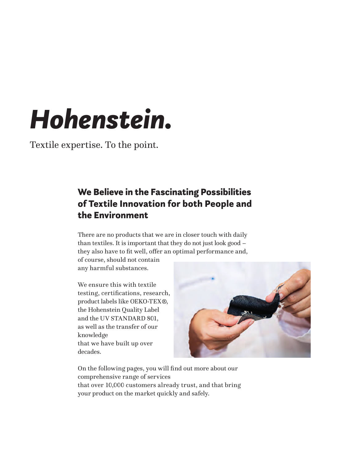## *Hohenstein.*

Textile expertise. To the point.

### We Believe in the Fascinating Possibilities of Textile Innovation for both People and the Environment

There are no products that we are in closer touch with daily than textiles. It is important that they do not just look good – they also have to fit well, offer an optimal performance and,

of course, should not contain any harmful substances.

We ensure this with textile testing, certifications, research, product labels like OEKO-TEX®, the Hohenstein Quality Label and the UV STANDARD 801, as well as the transfer of our knowledge that we have built up over decades.



On the following pages, you will find out more about our comprehensive range of services that over 10,000 customers already trust, and that bring your product on the market quickly and safely.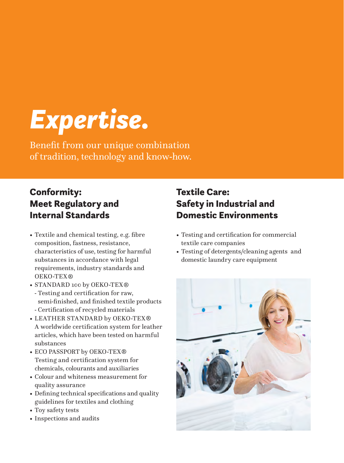## *Expertise.*

Benefit from our unique combination of tradition, technology and know-how.

## Conformity: Meet Regulatory and Internal Standards

- Textile and chemical testing, e.g. fibre composition, fastness, resistance, characteristics of use, testing for harmful substances in accordance with legal requirements, industry standards and OEKO-TEX
- STANDARD 100 by OEKO-TEX®
	- Testing and certification for raw, semi-finished, and finished textile products - Certification of recycled materials
- LEATHER STANDARD by OEKO-TEX A worldwide certification system for leather articles, which have been tested on harmful substances
- ECO PASSPORT by OEKO-TEX<sup>®</sup> Testing and certification system for chemicals, colourants and auxiliaries
- Colour and whiteness measurement for quality assurance
- Defining technical specifications and quality guidelines for textiles and clothing
- Toy safety tests
- Inspections and audits

## Textile Care: Safety in Industrial and Domestic Environments

- Testing and certification for commercial textile care companies
- Testing of detergents/cleaning agents and domestic laundry care equipment

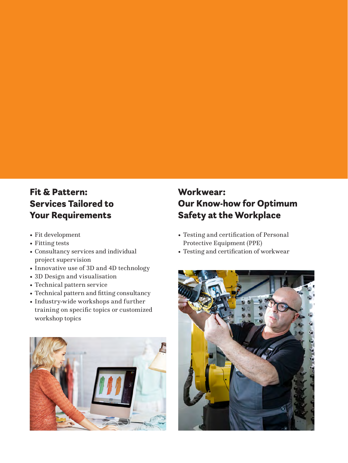## Fit & Pattern: Services Tailored to Your Requirements

- Fit development
- Fitting tests
- Consultancy services and individual project supervision
- Innovative use of 3D and 4D technology
- 3D Design and visualisation
- Technical pattern service
- Technical pattern and fitting consultancy
- Industry-wide workshops and further training on specific topics or customized workshop topics



## Workwear: Our Know-how for Optimum Safety at the Workplace

- Testing and certification of Personal Protective Equipment (PPE)
- Testing and certification of workwear

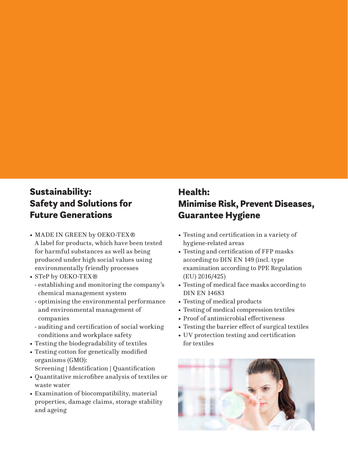## Sustainability: Safety and Solutions for Future Generations

- MADE IN GREEN by OEKO-TEX® A label for products, which have been tested for harmful substances as well as being produced under high social values using environmentally friendly processes
- STeP by OEKO-TEX<sup>®</sup>
	- establishing and monitoring the company's chemical management system
	- optimising the environmental performance and environmental management of companies
- auditing and certification of social working conditions and workplace safety
- Testing the biodegradability of textiles
- Testing cotton for genetically modified organisms (GMO): Screening | Identification | Quantification
- Quantitative microfibre analysis of textiles or waste water
- Examination of biocompatibility, material properties, damage claims, storage stability and ageing

## Health: Minimise Risk, Prevent Diseases, Guarantee Hygiene

- Testing and certification in a variety of hygiene-related areas
- Testing and certification of FFP masks according to DIN EN 149 (incl. type examination according to PPE Regulation (EU) 2016/425)
- Testing of medical face masks according to DIN EN 14683
- Testing of medical products
- Testing of medical compression textiles
- Proof of antimicrobial effectiveness
- Testing the barrier effect of surgical textiles
- UV protection testing and certification for textiles

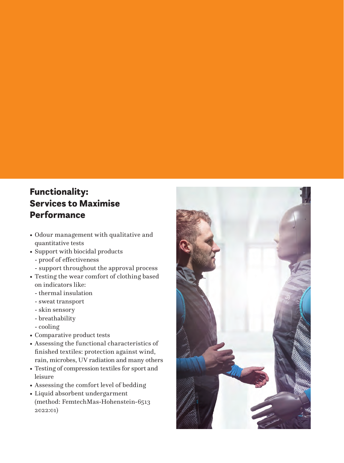## Functionality: Services to Maximise Performance

- Odour management with qualitative and quantitative tests
- Support with biocidal products
	- proof of effectiveness
	- support throughout the approval process
- Testing the wear comfort of clothing based on indicators like:
	- thermal insulation
	- sweat transport
	- skin sensory
	- breathability
	- cooling
- Comparative product tests
- Assessing the functional characteristics of finished textiles: protection against wind, rain, microbes, UV radiation and many others
- Testing of compression textiles for sport and leisure
- Assessing the comfort level of bedding
- Liquid absorbent undergarment (method: FemtechMas-Hohenstein-6513 2022:01)

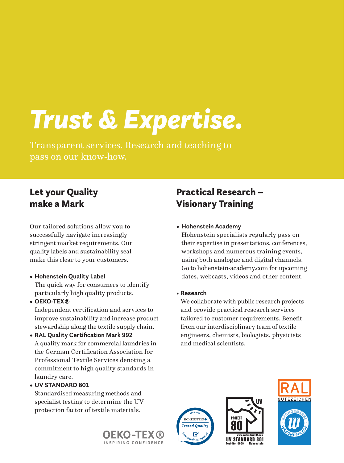# *Trust & Expertise.*

Transparent services. Research and teaching to pass on our know-how.

## Let your Quality make a Mark

Our tailored solutions allow you to successfully navigate increasingly stringent market requirements. Our quality labels and sustainability seal make this clear to your customers.

### **• Hohenstein Quality Label**

The quick way for consumers to identify particularly high quality products.

### **• OEKO-TEX**

Independent certification and services to improve sustainability and increase product stewardship along the textile supply chain.

**• RAL Quality Certification Mark 992** A quality mark for commercial laundries in the German Certification Association for Professional Textile Services denoting a commitment to high quality standards in laundry care.

### **• UV STANDARD 801**

Standardised measuring methods and specialist testing to determine the UV protection factor of textile materials.

### HOHENSTEIN *Tested Quality* **<sup>h</sup>ohenstei<sup>n</sup>.co<sup>m</sup>/<sup>t</sup>rus<sup>t</sup>**





### **• Hohenstein Academy**

Hohenstein specialists regularly pass on their expertise in presentations, conferences, workshops and numerous training events, using both analogue and digital channels. Go to hohenstein-academy.com for upcoming dates, webcasts, videos and other content.

• **Research**

**<sup>X</sup>X-00000<sup>0</sup>**

We collaborate with public research projects and provide practical research services tailored to customer requirements. Benefit from our interdisciplinary team of textile engineers, chemists, biologists, physicists and medical scientists.